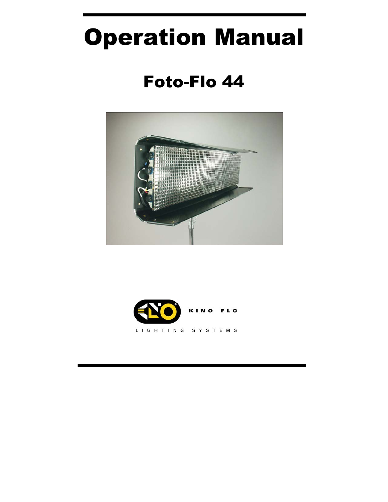# Operation Manual

# Foto-Flo 44



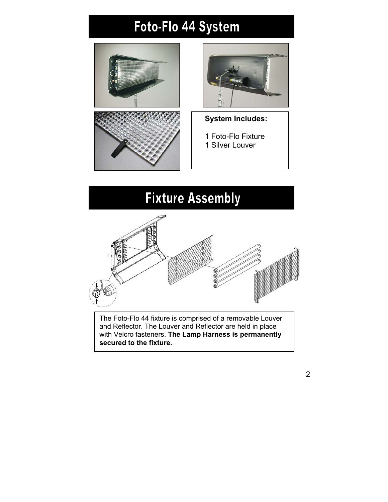# Foto-Flo 44 System





- **System Includes:**
- 1 Foto-Flo Fixture 1 Silver Louver

### **Fixture Assembly**



The Foto-Flo 44 fixture is comprised of a removable Louver and Reflector. The Louver and Reflector are held in place with Velcro fasteners. **The Lamp Harness is permanently secured to the fixture.**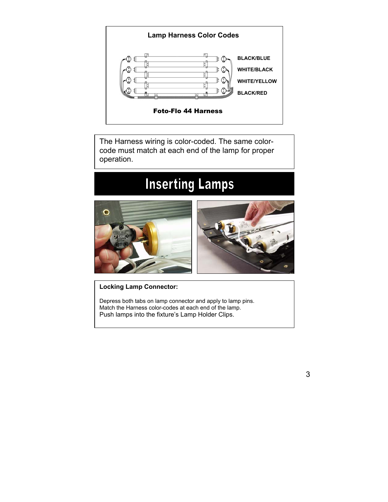

The Harness wiring is color-coded. The same colorcode must match at each end of the lamp for proper operation.

### **Inserting Lamps**



**Locking Lamp Connector:** 

Depress both tabs on lamp connector and apply to lamp pins. Match the Harness color-codes at each end of the lamp. Push lamps into the fixture's Lamp Holder Clips.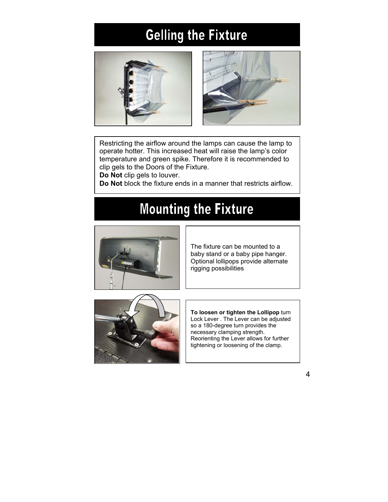# **Gelling the Fixture**





Restricting the airflow around the lamps can cause the lamp to operate hotter. This increased heat will raise the lamp's color temperature and green spike. Therefore it is recommended to clip gels to the Doors of the Fixture.

**Do Not** clip gels to louver.

**Do Not** block the fixture ends in a manner that restricts airflow.

# **Mounting the Fixture**



The fixture can be mounted to a baby stand or a baby pipe hanger. Optional lollipops provide alternate rigging possibilities



**To loosen or tighten the Lollipop** turn Lock Lever . The Lever can be adjusted so a 180-degree turn provides the necessary clamping strength. Reorienting the Lever allows for further tightening or loosening of the clamp.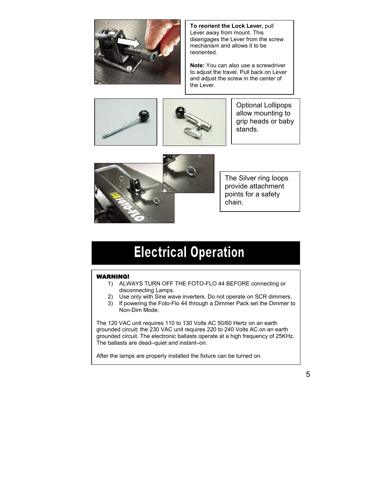

**To reorient the Lock Lever,** pull Lever away from mount. This disengages the Lever from the screw mechanism and allows it to be reoriented.

**Note:** You can also use a screwdriver to adjust the travel. Pull back on Lever and adjust the screw in the center of the Lever.





Optional Lollipops allow mounting to grip heads or baby stands.



The Silver ring loops provide attachment points for a safety chain.

### **Electrical Operation**

#### WARNING!

- 1) ALWAYS TURN OFF THE FOTO-FLO 44 BEFORE connecting or disconnecting Lamps.
- 2) Use only with Sine wave inverters. Do not operate on SCR dimmers.
- 3) If powering the Foto-Flo 44 through a Dimmer Pack set the Dimmer to Non-Dim Mode.

The 120 VAC unit requires 110 to 130 Volts AC 50/60 Hertz on an earth grounded circuit; the 230 VAC unit requires 220 to 240 Volts AC on an earth grounded circuit. The electronic ballasts operate at a high frequency of 25KHz. The ballasts are dead–quiet and instant–on.

After the lamps are properly installed the fixture can be turned on.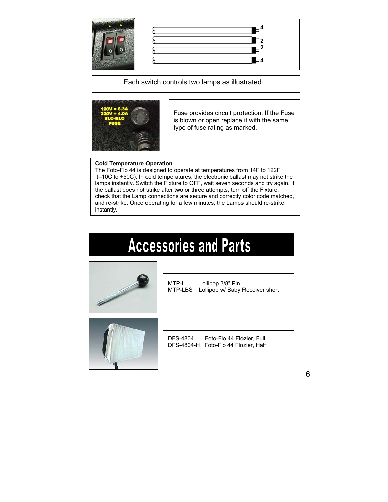

Each switch controls two lamps as illustrated.



Fuse provides circuit protection. If the Fuse is blown or open replace it with the same type of fuse rating as marked.

#### **Cold Temperature Operation**

The Foto-Flo 44 is designed to operate at temperatures from 14F to 122F (–10C to +50C). In cold temperatures, the electronic ballast may not strike the lamps instantly. Switch the Fixture to OFF, wait seven seconds and try again. If the ballast does not strike after two or three attempts, turn off the Fixture, check that the Lamp connections are secure and correctly color code matched , and re-strike. Once operating for a few minutes, the Lamps should re-strike instantl y.

# **Accessories and Parts**



MTP-L Lollipop 3/8" Pin MTP-LBS Lollipop w/ Baby Receiver short



DFS-4804 Foto-Flo 44 Flozier, Full DFS-4804-H Foto-Flo 44 Flozier, Half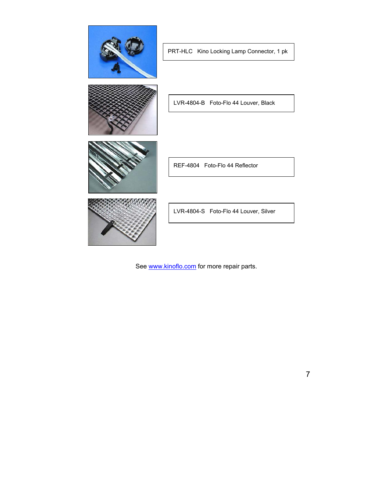

See [www.kinoflo.com](http://www.kinoflo.com/) for more repair parts.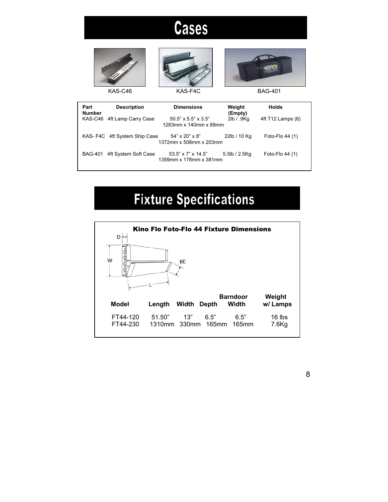# **Cases**





KAS-C46 KAS-F4C BAG-401



| Part<br><b>Number</b> | <b>Description</b>            | <b>Dimensions</b>                                        | Weight<br>(Empty) | <b>Holds</b>      |
|-----------------------|-------------------------------|----------------------------------------------------------|-------------------|-------------------|
|                       | KAS-C46 4ft Lamp Carry Case   | $50.5" \times 5.5" \times 3.5"$<br>1283mm x 140mm x 89mm | 2lb / .9Kq        | 4ft T12 Lamps (6) |
|                       | KAS- F4C 4ft System Ship Case | $54" \times 20" \times 8"$<br>1372mm x 508mm x 203mm     | 22lb / 10 Kg      | Foto-Flo $44(1)$  |
| <b>BAG-401</b>        | 4ft System Soft Case          | $53.5" \times 7" \times 14.5"$<br>1359mm x 178mm x 381mm | 5.5lb / 2.5Kg     | Foto-Flo 44 (1)   |

# **Fixture Specifications**